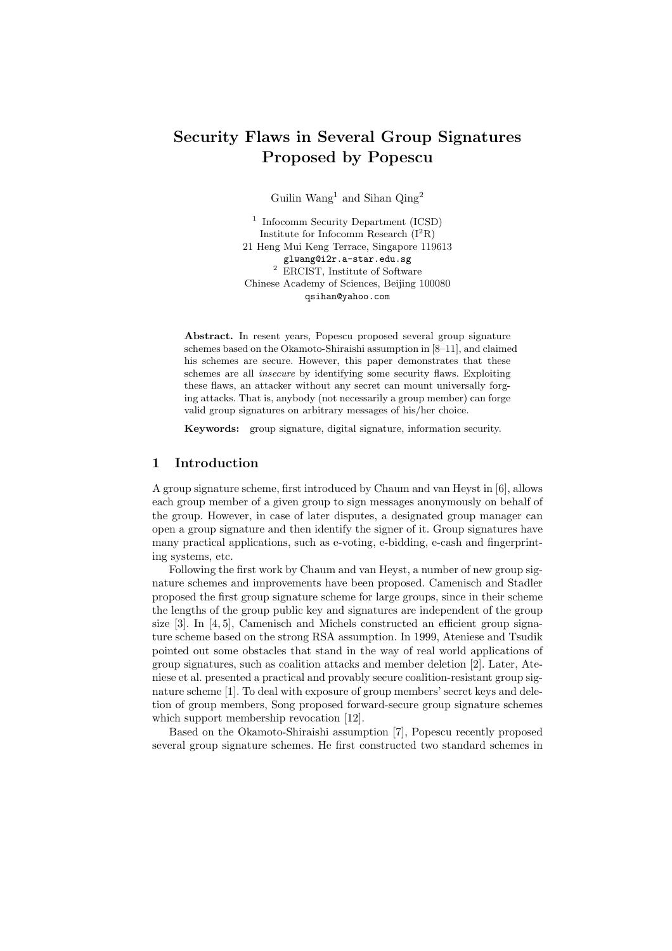# Security Flaws in Several Group Signatures Proposed by Popescu

Guilin Wang<sup>1</sup> and Sihan  $Qing<sup>2</sup>$ 

<sup>1</sup> Infocomm Security Department (ICSD) Institute for Infocomm Research  $(I^2R)$ 21 Heng Mui Keng Terrace, Singapore 119613 glwang@i2r.a-star.edu.sg  $2$  ERCIST, Institute of Software Chinese Academy of Sciences, Beijing 100080 qsihan@yahoo.com

Abstract. In resent years, Popescu proposed several group signature schemes based on the Okamoto-Shiraishi assumption in [8–11], and claimed his schemes are secure. However, this paper demonstrates that these schemes are all insecure by identifying some security flaws. Exploiting these flaws, an attacker without any secret can mount universally forging attacks. That is, anybody (not necessarily a group member) can forge valid group signatures on arbitrary messages of his/her choice.

Keywords: group signature, digital signature, information security.

# 1 Introduction

A group signature scheme, first introduced by Chaum and van Heyst in [6], allows each group member of a given group to sign messages anonymously on behalf of the group. However, in case of later disputes, a designated group manager can open a group signature and then identify the signer of it. Group signatures have many practical applications, such as e-voting, e-bidding, e-cash and fingerprinting systems, etc.

Following the first work by Chaum and van Heyst, a number of new group signature schemes and improvements have been proposed. Camenisch and Stadler proposed the first group signature scheme for large groups, since in their scheme the lengths of the group public key and signatures are independent of the group size [3]. In [4, 5], Camenisch and Michels constructed an efficient group signature scheme based on the strong RSA assumption. In 1999, Ateniese and Tsudik pointed out some obstacles that stand in the way of real world applications of group signatures, such as coalition attacks and member deletion [2]. Later, Ateniese et al. presented a practical and provably secure coalition-resistant group signature scheme [1]. To deal with exposure of group members' secret keys and deletion of group members, Song proposed forward-secure group signature schemes which support membership revocation [12].

Based on the Okamoto-Shiraishi assumption [7], Popescu recently proposed several group signature schemes. He first constructed two standard schemes in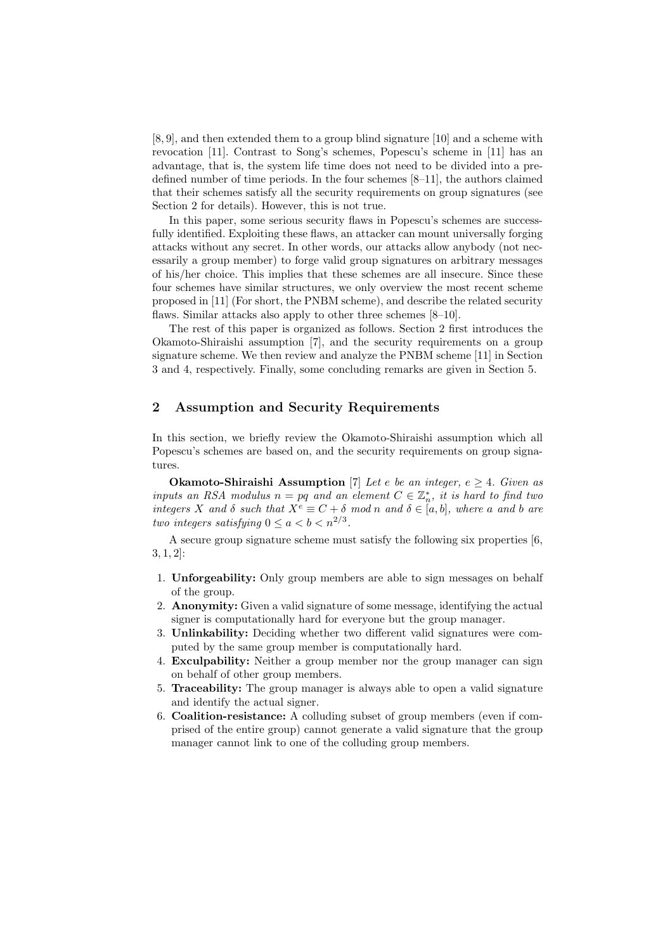[8, 9], and then extended them to a group blind signature [10] and a scheme with revocation [11]. Contrast to Song's schemes, Popescu's scheme in [11] has an advantage, that is, the system life time does not need to be divided into a predefined number of time periods. In the four schemes [8–11], the authors claimed that their schemes satisfy all the security requirements on group signatures (see Section 2 for details). However, this is not true.

In this paper, some serious security flaws in Popescu's schemes are successfully identified. Exploiting these flaws, an attacker can mount universally forging attacks without any secret. In other words, our attacks allow anybody (not necessarily a group member) to forge valid group signatures on arbitrary messages of his/her choice. This implies that these schemes are all insecure. Since these four schemes have similar structures, we only overview the most recent scheme proposed in [11] (For short, the PNBM scheme), and describe the related security flaws. Similar attacks also apply to other three schemes [8–10].

The rest of this paper is organized as follows. Section 2 first introduces the Okamoto-Shiraishi assumption [7], and the security requirements on a group signature scheme. We then review and analyze the PNBM scheme [11] in Section 3 and 4, respectively. Finally, some concluding remarks are given in Section 5.

# 2 Assumption and Security Requirements

In this section, we briefly review the Okamoto-Shiraishi assumption which all Popescu's schemes are based on, and the security requirements on group signatures.

**Okamoto-Shiraishi Assumption** [7] Let e be an integer,  $e \geq 4$ . Given as inputs an RSA modulus  $n = pq$  and an element  $C \in \mathbb{Z}_n^*$ , it is hard to find two integers X and  $\delta$  such that  $X^e \equiv C + \delta \mod n$  and  $\delta \in [a, b]$ , where a and b are two integers satisfying  $0 \le a < b < n^{2/3}$ .

A secure group signature scheme must satisfy the following six properties [6, 3, 1, 2]:

- 1. Unforgeability: Only group members are able to sign messages on behalf of the group.
- 2. Anonymity: Given a valid signature of some message, identifying the actual signer is computationally hard for everyone but the group manager.
- 3. Unlinkability: Deciding whether two different valid signatures were computed by the same group member is computationally hard.
- 4. Exculpability: Neither a group member nor the group manager can sign on behalf of other group members.
- 5. Traceability: The group manager is always able to open a valid signature and identify the actual signer.
- 6. Coalition-resistance: A colluding subset of group members (even if comprised of the entire group) cannot generate a valid signature that the group manager cannot link to one of the colluding group members.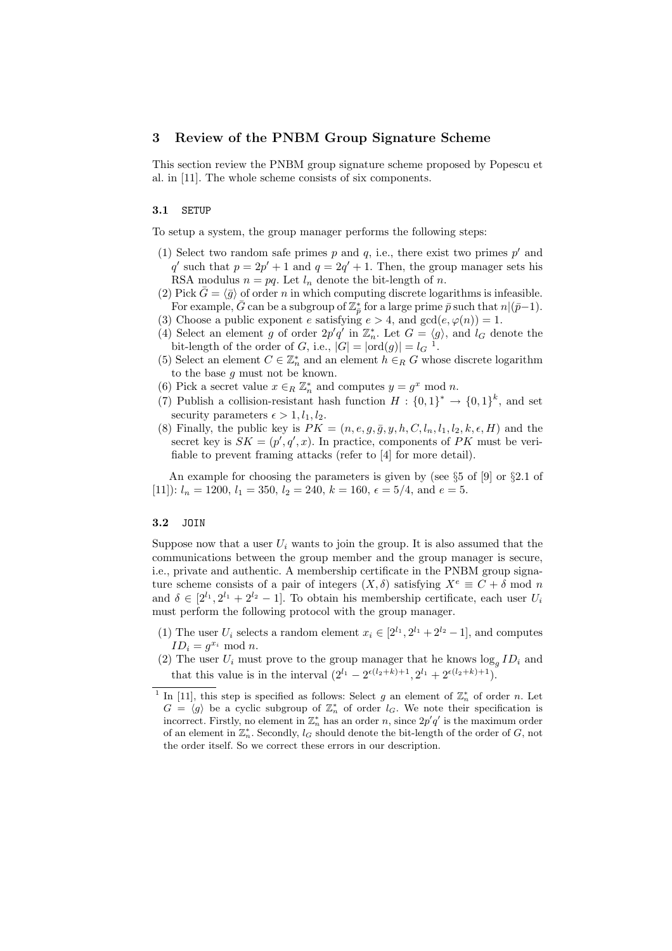### 3 Review of the PNBM Group Signature Scheme

This section review the PNBM group signature scheme proposed by Popescu et al. in [11]. The whole scheme consists of six components.

#### 3.1 SETUP

To setup a system, the group manager performs the following steps:

- (1) Select two random safe primes  $p$  and  $q$ , i.e., there exist two primes  $p'$  and q' such that  $p = 2p' + 1$  and  $q = 2q' + 1$ . Then, the group manager sets his RSA modulus  $n = pq$ . Let  $l_n$  denote the bit-length of n.
- (2) Pick  $\bar{G} = \langle \bar{g} \rangle$  of order n in which computing discrete logarithms is infeasible. For example,  $\bar{G}$  can be a subgroup of  $\mathbb{Z}_{\bar{p}}^*$  for a large prime  $\bar{p}$  such that  $n|(\bar{p}-1)$ .
- (3) Choose a public exponent e satisfying  $e > 4$ , and  $gcd(e, \varphi(n)) = 1$ .
- (4) Select an element g of order  $2p'q'$  in  $\mathbb{Z}_n^*$ . Let  $G = \langle g \rangle$ , and  $l_G$  denote the bit-length of the order of G, i.e.,  $|G| = |\text{ord}(g)| = l_G^{-1}$ .
- (5) Select an element  $C \in \mathbb{Z}_n^*$  and an element  $h \in_R G$  whose discrete logarithm to the base g must not be known.
- (6) Pick a secret value  $x \in_R \mathbb{Z}_n^*$  and computes  $y = g^x \mod n$ .
- (7) Publish a collision-resistant hash function  $H: \{0,1\}^* \to \{0,1\}^k$ , and set security parameters  $\epsilon > 1, l_1, l_2$ .
- (8) Finally, the public key is  $PK = (n, e, g, \overline{g}, y, h, C, l_n, l_1, l_2, k, \epsilon, H)$  and the secret key is  $SK = (p', q', x)$ . In practice, components of PK must be verifiable to prevent framing attacks (refer to [4] for more detail).

An example for choosing the parameters is given by (see  $\S5$  of [9] or  $\S2.1$  of [11]):  $l_n = 1200$ ,  $l_1 = 350$ ,  $l_2 = 240$ ,  $k = 160$ ,  $\epsilon = 5/4$ , and  $e = 5$ .

#### 3.2 JOIN

Suppose now that a user  $U_i$  wants to join the group. It is also assumed that the communications between the group member and the group manager is secure, i.e., private and authentic. A membership certificate in the PNBM group signature scheme consists of a pair of integers  $(X, \delta)$  satisfying  $X^e \equiv C + \delta \mod n$ and  $\delta \in [2^{l_1}, 2^{l_1} + 2^{l_2} - 1]$ . To obtain his membership certificate, each user  $U_i$ must perform the following protocol with the group manager.

- (1) The user  $U_i$  selects a random element  $x_i \in [2^{l_1}, 2^{l_1} + 2^{l_2} 1]$ , and computes  $ID_i = g^{x_i} \text{ mod } n.$
- (2) The user  $U_i$  must prove to the group manager that he knows  $\log_g ID_i$  and that this value is in the interval  $(2^{l_1} - 2^{\epsilon(l_2+k)+1}, 2^{l_1} + 2^{\epsilon(l_2+k)+1}).$

<sup>&</sup>lt;sup>1</sup> In [11], this step is specified as follows: Select g an element of  $\mathbb{Z}_n^*$  of order n. Let  $G = \langle g \rangle$  be a cyclic subgroup of  $\mathbb{Z}_n^*$  of order  $l_G$ . We note their specification is incorrect. Firstly, no element in  $\mathbb{Z}_n^*$  has an order n, since  $2p'q'$  is the maximum order of an element in  $\mathbb{Z}_n^*$ . Secondly,  $l_G$  should denote the bit-length of the order of  $G$ , not the order itself. So we correct these errors in our description.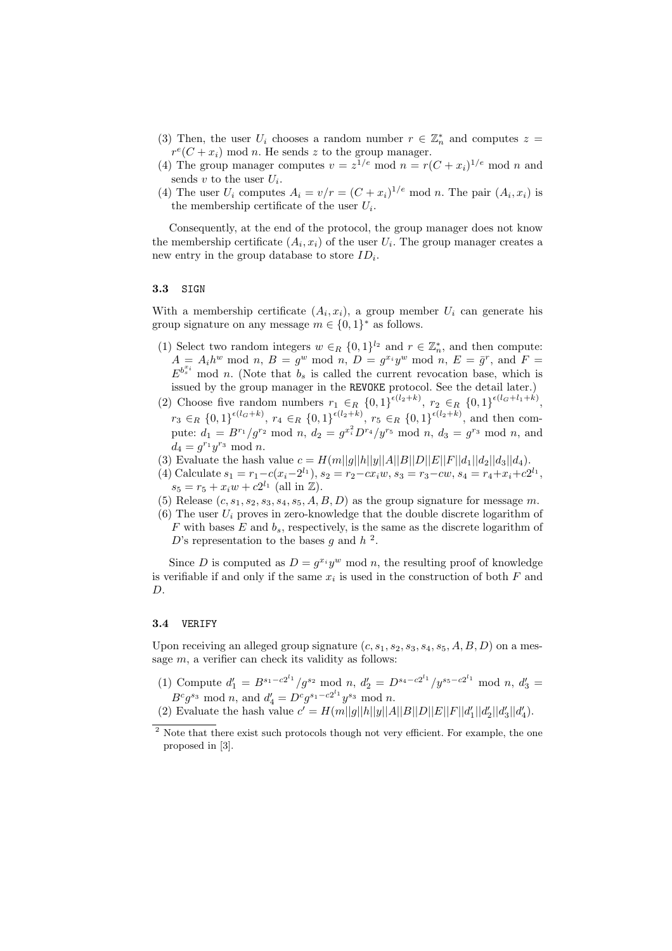- (3) Then, the user  $U_i$  chooses a random number  $r \in \mathbb{Z}_n^*$  and computes  $z =$  $r^e(C + x_i)$  mod n. He sends z to the group manager.
- (4) The group manager computes  $v = z^{1/e} \mod n = r(C + x_i)^{1/e} \mod n$  and sends  $v$  to the user  $U_i$ .
- (4) The user  $U_i$  computes  $A_i = v/r = (C + x_i)^{1/e} \text{ mod } n$ . The pair  $(A_i, x_i)$  is the membership certificate of the user  $U_i$ .

Consequently, at the end of the protocol, the group manager does not know the membership certificate  $(A_i, x_i)$  of the user  $U_i$ . The group manager creates a new entry in the group database to store  $ID_i$ .

### 3.3 SIGN

With a membership certificate  $(A_i, x_i)$ , a group member  $U_i$  can generate his group signature on any message  $m \in \{0,1\}^*$  as follows.

- (1) Select two random integers  $w \in_R \{0,1\}^{l_2}$  and  $r \in \mathbb{Z}_n^*$ , and then compute:  $A = A_i h^w \mod n, B = g^w \mod n, D = g^{x_i} y^w \mod n, E = \overline{g}^r$ , and  $F =$  $E^{b_s^{x_i}}$  mod n. (Note that  $b_s$  is called the current revocation base, which is issued by the group manager in the REVOKE protocol. See the detail later.)
- (2) Choose five random numbers  $r_1 \in_R \{0,1\}^{\epsilon(l_2+k)}$ ,  $r_2 \in_R \{0,1\}^{\epsilon(l_3+l_1+k)}$ ,  $r_3 \in_R \{0,1\}^{\epsilon(l_G+k)}, r_4 \in_R \{0,1\}^{\epsilon(l_2+k)}, r_5 \in_R \{0,1\}^{\epsilon(l_2+k)},$  and then compute:  $d_1 = B^{r_1}/g^{r_2} \mod n$ ,  $d_2 = g^{x_i^2} D^{r_4}/y^{r_5} \mod n$ ,  $d_3 = g^{r_3} \mod n$ , and  $d_4 = g^{r_1} y^{r_3} \text{ mod } n.$
- (3) Evaluate the hash value  $c = H(m||g||h||y||A||B||D||E||F||d_1||d_2||d_3||d_4)$ .
- (4) Calculate  $s_1 = r_1 c(x_i 2^{l_1}), s_2 = r_2 cx_iw, s_3 = r_3 cw, s_4 = r_4 + x_i + c2^{l_1},$  $s_5 = r_5 + x_i w + c2^{l_1}$  (all in Z).
- (5) Release  $(c, s_1, s_2, s_3, s_4, s_5, A, B, D)$  as the group signature for message m.
- (6) The user  $U_i$  proves in zero-knowledge that the double discrete logarithm of  $F$  with bases  $E$  and  $b_s$ , respectively, is the same as the discrete logarithm of D's representation to the bases g and  $h^2$ .

Since D is computed as  $D = g^{x_i} y^w \mod n$ , the resulting proof of knowledge is verifiable if and only if the same  $x_i$  is used in the construction of both  $F$  and  $D.$ 

### 3.4 VERIFY

Upon receiving an alleged group signature  $(c, s_1, s_2, s_3, s_4, s_5, A, B, D)$  on a message  $m$ , a verifier can check its validity as follows:

(1) Compute  $d'_1 = B^{s_1 - c2^{l_1}}/g^{s_2} \mod n$ ,  $d'_2 = D^{s_4 - c2^{l_1}}/y^{s_5 - c2^{l_1}} \mod n$ ,  $d'_3 =$  $B^c g^{s_3} \text{ mod } n$ , and  $d'_4 = D^c g^{s_1 - c_2^{l_1}} y^{s_3} \text{ mod } n$ .

<sup>(2)</sup> Evaluate the hash value  $c' = H(m||g||h||y||A||B||D||E||F||d'_1||d'_2||d'_3||d'_4)$ .

<sup>&</sup>lt;sup>2</sup> Note that there exist such protocols though not very efficient. For example, the one proposed in [3].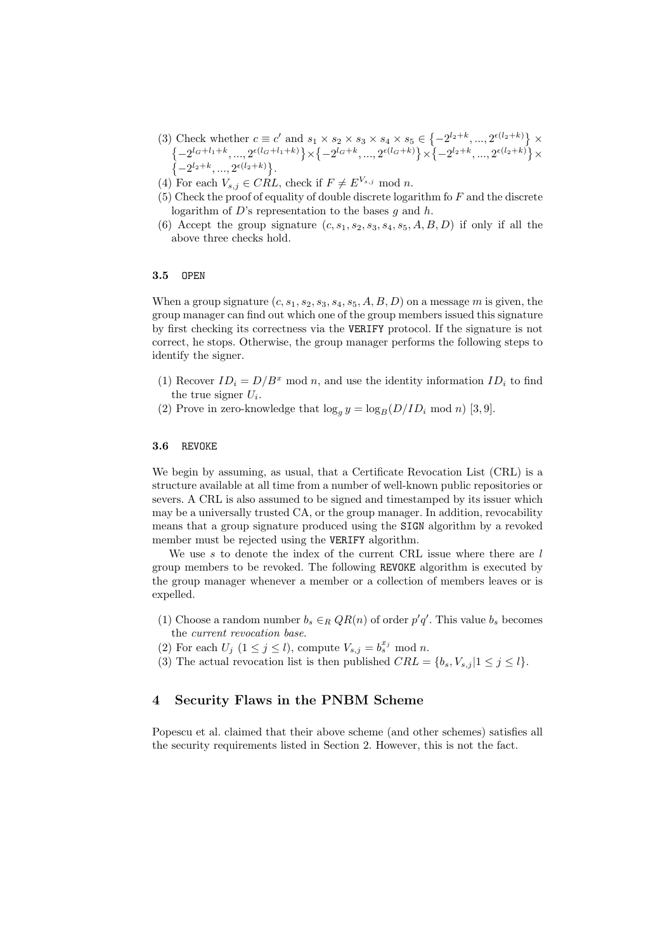- (3) Check whether  $c \equiv c'$  and  $s_1 \times s_2 \times s_3 \times s_4 \times s_5 \in \{$  $-2^{l_2+k}, ..., 2^{\epsilon(l_2+k)}$ Check whether  $c \equiv c'$  and  $s_1 \times s_2 \times s_3 \times s_4 \times s_5 \in \{-2^{l_2+k}, ..., 2^{c(l_2+k)}\} \times$  $-2^{l_G+l_1+k}, ..., 2^{\epsilon(l_G+l_1+k)}$ × ©  $\{ -2^{l_G+k}, ..., 2^{\epsilon (l_G+k)} \}$ × ©  $\{-2^{l_2+k},...,2^{\epsilon(l_2+k)}\}$  $\left\{-2^{l_G+l_1+k},..., 2^{\epsilon(l_G+l_1+k)}\right\}\times \left\{-2^{l_G+k},..., 2^{\epsilon(l_G+k)}\right\}\times \left\{-2^{l_2+k},..., 2^{\epsilon(l_2+k)}\right\}\times$  $-2^{l_2+k},...,2^{\epsilon(l_2+k)}\}.$
- (4) For each  $V_{s,j} \in \widetilde{CRL}$ , check if  $F \neq E^{V_{s,j}}$  mod n.
- $(5)$  Check the proof of equality of double discrete logarithm fo F and the discrete logarithm of  $D$ 's representation to the bases g and h.
- (6) Accept the group signature  $(c, s_1, s_2, s_3, s_4, s_5, A, B, D)$  if only if all the above three checks hold.

### 3.5 OPEN

When a group signature  $(c, s_1, s_2, s_3, s_4, s_5, A, B, D)$  on a message m is given, the group manager can find out which one of the group members issued this signature by first checking its correctness via the VERIFY protocol. If the signature is not correct, he stops. Otherwise, the group manager performs the following steps to identify the signer.

- (1) Recover  $ID_i = D/B^x \mod n$ , and use the identity information  $ID_i$  to find the true signer  $U_i$ .
- (2) Prove in zero-knowledge that  $\log_a y = \log_B(D/ID_i \mod n)$  [3, 9].

#### 3.6 REVOKE

We begin by assuming, as usual, that a Certificate Revocation List (CRL) is a structure available at all time from a number of well-known public repositories or severs. A CRL is also assumed to be signed and timestamped by its issuer which may be a universally trusted CA, or the group manager. In addition, revocability means that a group signature produced using the SIGN algorithm by a revoked member must be rejected using the VERIFY algorithm.

We use s to denote the index of the current CRL issue where there are  $l$ group members to be revoked. The following REVOKE algorithm is executed by the group manager whenever a member or a collection of members leaves or is expelled.

- (1) Choose a random number  $b_s \in_R QR(n)$  of order  $p'q'$ . This value  $b_s$  becomes the current revocation base.
- (2) For each  $U_j$   $(1 \leq j \leq l)$ , compute  $V_{s,j} = b_s^{x_j} \mod n$ .
- (3) The actual revocation list is then published  $CRL = \{b_s, V_{s,j} | 1 \leq j \leq l\}.$

### 4 Security Flaws in the PNBM Scheme

Popescu et al. claimed that their above scheme (and other schemes) satisfies all the security requirements listed in Section 2. However, this is not the fact.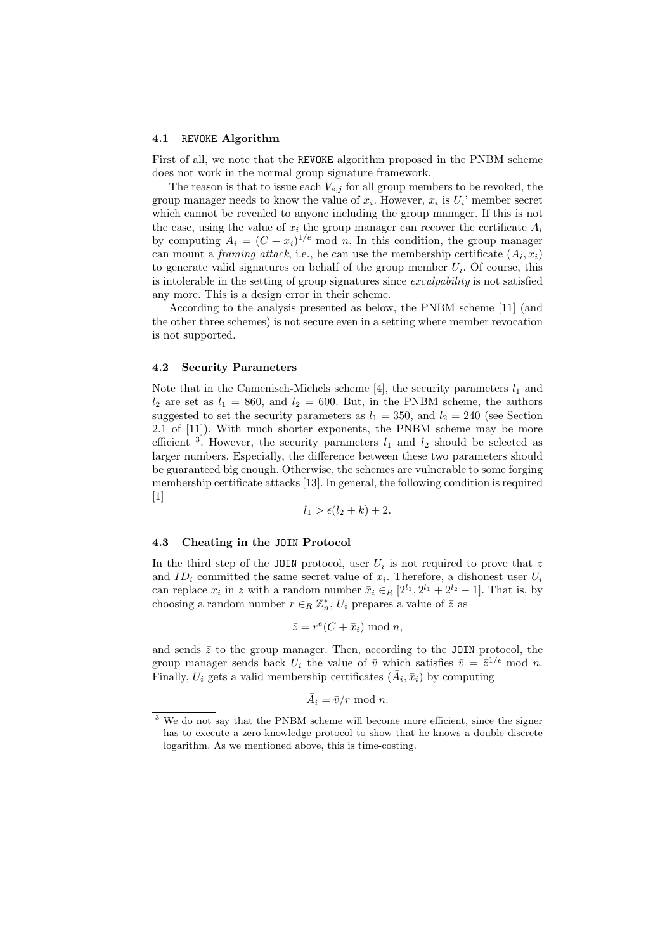#### 4.1 REVOKE Algorithm

First of all, we note that the REVOKE algorithm proposed in the PNBM scheme does not work in the normal group signature framework.

The reason is that to issue each  $V_{s,j}$  for all group members to be revoked, the group manager needs to know the value of  $x_i$ . However,  $x_i$  is  $U_i$ ' member secret which cannot be revealed to anyone including the group manager. If this is not the case, using the value of  $x_i$  the group manager can recover the certificate  $A_i$ by computing  $A_i = (C + x_i)^{1/e}$  mod n. In this condition, the group manager can mount a *framing attack*, i.e., he can use the membership certificate  $(A_i, x_i)$ to generate valid signatures on behalf of the group member  $U_i$ . Of course, this is intolerable in the setting of group signatures since *exculpability* is not satisfied any more. This is a design error in their scheme.

According to the analysis presented as below, the PNBM scheme [11] (and the other three schemes) is not secure even in a setting where member revocation is not supported.

### 4.2 Security Parameters

Note that in the Camenisch-Michels scheme [4], the security parameters  $l_1$  and  $l_2$  are set as  $l_1 = 860$ , and  $l_2 = 600$ . But, in the PNBM scheme, the authors suggested to set the security parameters as  $l_1 = 350$ , and  $l_2 = 240$  (see Section 2.1 of [11]). With much shorter exponents, the PNBM scheme may be more efficient <sup>3</sup>. However, the security parameters  $l_1$  and  $l_2$  should be selected as larger numbers. Especially, the difference between these two parameters should be guaranteed big enough. Otherwise, the schemes are vulnerable to some forging membership certificate attacks [13]. In general, the following condition is required  $|1|$ 

$$
l_1 > \epsilon (l_2 + k) + 2.
$$

#### 4.3 Cheating in the JOIN Protocol

In the third step of the JOIN protocol, user  $U_i$  is not required to prove that z and  $ID_i$  committed the same secret value of  $x_i$ . Therefore, a dishonest user  $U_i$ can replace  $x_i$  in z with a random number  $\bar{x}_i \in_R [2^{l_1}, 2^{l_1} + 2^{l_2} - 1]$ . That is, by choosing a random number  $r \in_R \mathbb{Z}_n^*$ ,  $U_i$  prepares a value of  $\overline{z}$  as

$$
\bar{z} = r^e(C + \bar{x}_i) \bmod n,
$$

and sends  $\bar{z}$  to the group manager. Then, according to the JOIN protocol, the group manager sends back  $U_i$  the value of  $\bar{v}$  which satisfies  $\bar{v} = \bar{z}^{1/e} \mod n$ . Finally,  $U_i$  gets a valid membership certificates  $(\bar{A}_i, \bar{x}_i)$  by computing

$$
\bar{A}_i = \bar{v}/r \mod n.
$$

<sup>&</sup>lt;sup>3</sup> We do not say that the PNBM scheme will become more efficient, since the signer has to execute a zero-knowledge protocol to show that he knows a double discrete logarithm. As we mentioned above, this is time-costing.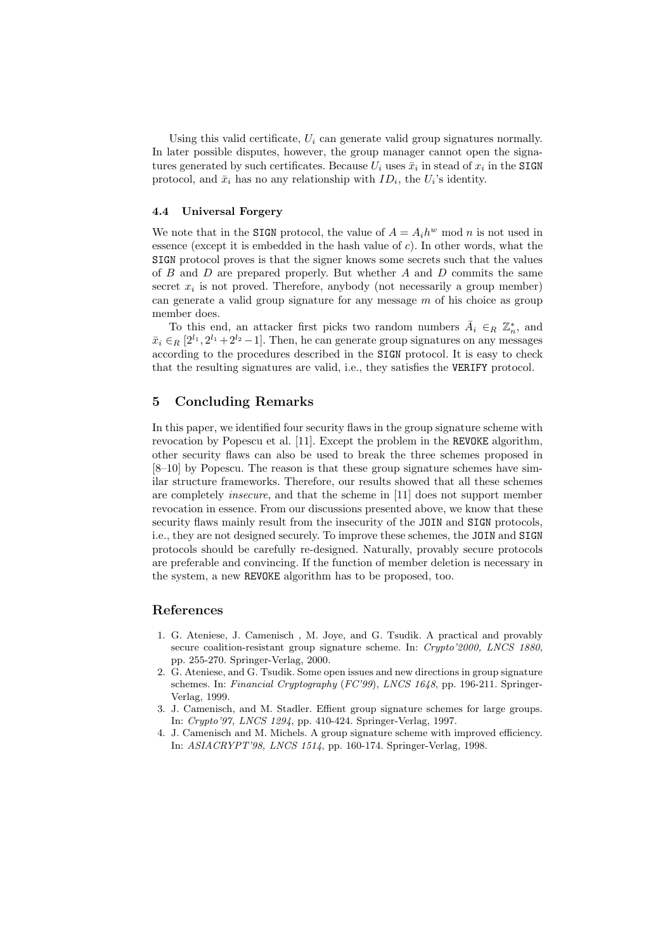Using this valid certificate,  $U_i$  can generate valid group signatures normally. In later possible disputes, however, the group manager cannot open the signatures generated by such certificates. Because  $U_i$  uses  $\bar{x}_i$  in stead of  $x_i$  in the SIGN protocol, and  $\bar{x}_i$  has no any relationship with  $ID_i$ , the  $U_i$ 's identity.

#### 4.4 Universal Forgery

We note that in the SIGN protocol, the value of  $A = A_i h^w$  mod n is not used in essence (except it is embedded in the hash value of  $c$ ). In other words, what the SIGN protocol proves is that the signer knows some secrets such that the values of  $B$  and  $D$  are prepared properly. But whether  $A$  and  $D$  commits the same secret  $x_i$  is not proved. Therefore, anybody (not necessarily a group member) can generate a valid group signature for any message  $m$  of his choice as group member does.

To this end, an attacker first picks two random numbers  $\bar{A}_i \in_R \mathbb{Z}_n^*$ , and  $\bar{x}_i \in_R [2^{l_1}, 2^{l_1}+2^{l_2}-1]$ . Then, he can generate group signatures on any messages according to the procedures described in the SIGN protocol. It is easy to check that the resulting signatures are valid, i.e., they satisfies the VERIFY protocol.

# 5 Concluding Remarks

In this paper, we identified four security flaws in the group signature scheme with revocation by Popescu et al. [11]. Except the problem in the REVOKE algorithm, other security flaws can also be used to break the three schemes proposed in [8–10] by Popescu. The reason is that these group signature schemes have similar structure frameworks. Therefore, our results showed that all these schemes are completely insecure, and that the scheme in [11] does not support member revocation in essence. From our discussions presented above, we know that these security flaws mainly result from the insecurity of the JOIN and SIGN protocols, i.e., they are not designed securely. To improve these schemes, the JOIN and SIGN protocols should be carefully re-designed. Naturally, provably secure protocols are preferable and convincing. If the function of member deletion is necessary in the system, a new REVOKE algorithm has to be proposed, too.

# References

- 1. G. Ateniese, J. Camenisch , M. Joye, and G. Tsudik. A practical and provably secure coalition-resistant group signature scheme. In: Crypto'2000, LNCS 1880, pp. 255-270. Springer-Verlag, 2000.
- 2. G. Ateniese, and G. Tsudik. Some open issues and new directions in group signature schemes. In: Financial Cryptography (FC'99), LNCS 1648, pp. 196-211. Springer-Verlag, 1999.
- 3. J. Camenisch, and M. Stadler. Effient group signature schemes for large groups. In: Crypto'97, LNCS 1294, pp. 410-424. Springer-Verlag, 1997.
- 4. J. Camenisch and M. Michels. A group signature scheme with improved efficiency. In: ASIACRYPT'98, LNCS 1514, pp. 160-174. Springer-Verlag, 1998.